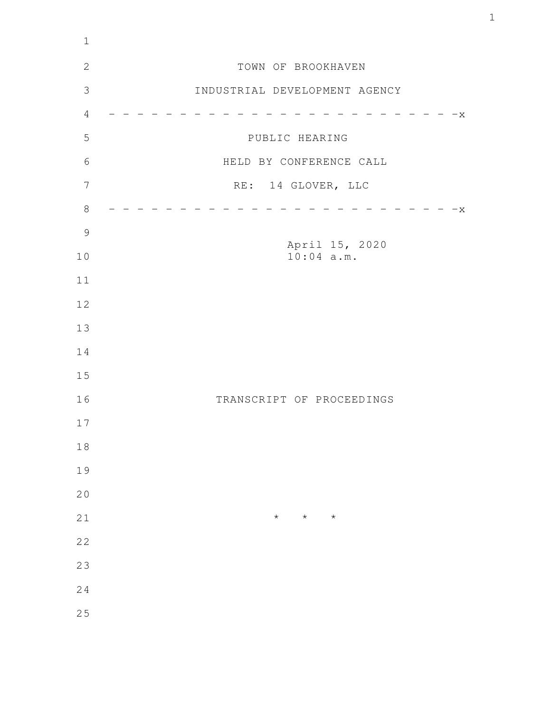| $\mathbf 1$    |                                |
|----------------|--------------------------------|
| $\mathbf{2}$   | TOWN OF BROOKHAVEN             |
| $\mathfrak{Z}$ | INDUSTRIAL DEVELOPMENT AGENCY  |
| $\sqrt{4}$     | $-x$                           |
| 5              | PUBLIC HEARING                 |
| $\sqrt{6}$     | HELD BY CONFERENCE CALL        |
| $\overline{7}$ | RE: 14 GLOVER, LLC             |
| $\,8\,$        | $-x$                           |
| $\mathcal{G}$  |                                |
| 10             | April 15, 2020<br>$10:04$ a.m. |
| 11             |                                |
| 12             |                                |
| 13             |                                |
| 14             |                                |
| 15             |                                |
| 16             | TRANSCRIPT OF PROCEEDINGS      |
| 17             |                                |
| $1\,8$         |                                |
| 19             |                                |
| 20             |                                |
| 21             | $\star$<br>$\star$<br>$\star$  |
| 22             |                                |
| 23             |                                |
| 24             |                                |
| 25             |                                |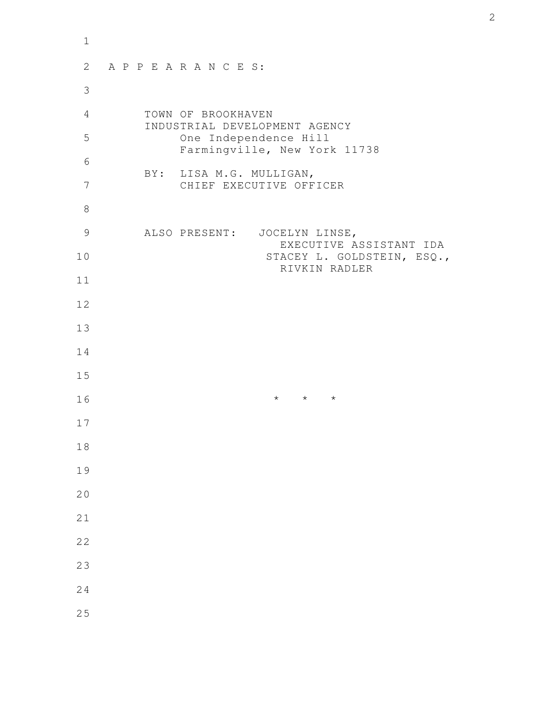| $\mathbf 1$ |                                                         |
|-------------|---------------------------------------------------------|
| 2           | APPEARANCES:                                            |
| 3           |                                                         |
| 4           | TOWN OF BROOKHAVEN<br>INDUSTRIAL DEVELOPMENT AGENCY     |
| 5           | One Independence Hill<br>Farmingville, New York 11738   |
| 6           | BY: LISA M.G. MULLIGAN,                                 |
| 7           | CHIEF EXECUTIVE OFFICER                                 |
| 8           |                                                         |
| 9           | ALSO PRESENT: JOCELYN LINSE,<br>EXECUTIVE ASSISTANT IDA |
| 10          | STACEY L. GOLDSTEIN, ESQ.,<br>RIVKIN RADLER             |
| 11          |                                                         |
| 12          |                                                         |
| 13          |                                                         |
| 14          |                                                         |
| 15          |                                                         |
| 16          | $\star$ $\star$ $\star$                                 |
| 17          |                                                         |
| 18          |                                                         |
| 19          |                                                         |
| 20          |                                                         |
| 21          |                                                         |
| 22          |                                                         |
| 23          |                                                         |
| 24          |                                                         |
| 25          |                                                         |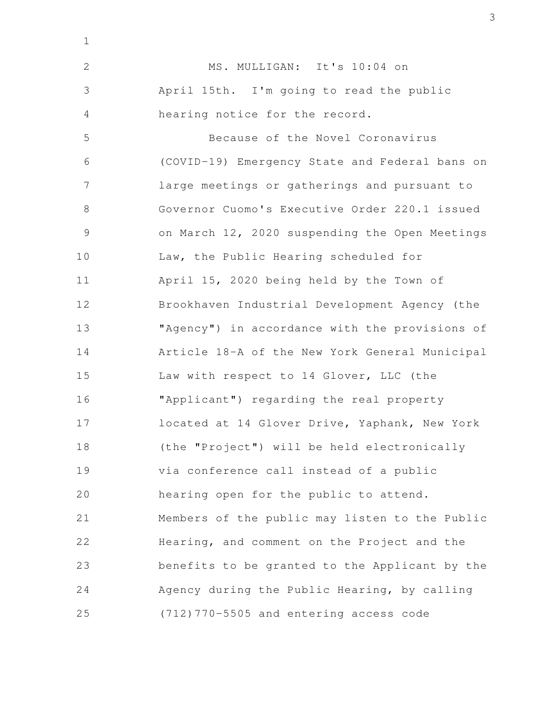MS. MULLIGAN: It's 10:04 on April 15th. I'm going to read the public hearing notice for the record. Because of the Novel Coronavirus (COVID-19) Emergency State and Federal bans on large meetings or gatherings and pursuant to Governor Cuomo's Executive Order 220.1 issued on March 12, 2020 suspending the Open Meetings Law, the Public Hearing scheduled for April 15, 2020 being held by the Town of Brookhaven Industrial Development Agency (the "Agency") in accordance with the provisions of Article 18-A of the New York General Municipal Law with respect to 14 Glover, LLC (the "Applicant") regarding the real property located at 14 Glover Drive, Yaphank, New York (the "Project") will be held electronically via conference call instead of a public hearing open for the public to attend. Members of the public may listen to the Public Hearing, and comment on the Project and the benefits to be granted to the Applicant by the Agency during the Public Hearing, by calling (712)770-5505 and entering access code 2 3 4 5 6 7 8 9 10 11 12 13 14 15 16 17 18 19 20 21 22 23 24 25

1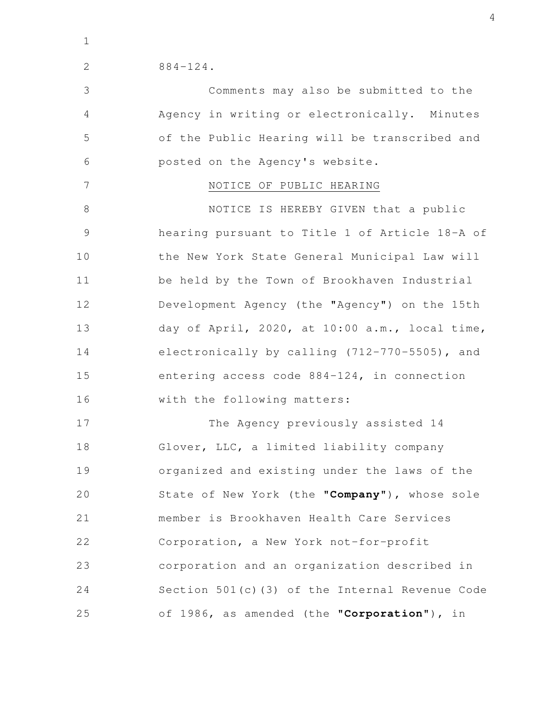1

2

884-124.

Comments may also be submitted to the Agency in writing or electronically. Minutes of the Public Hearing will be transcribed and posted on the Agency's website. 3 4 5 6

7

## NOTICE OF PUBLIC HEARING

NOTICE IS HEREBY GIVEN that a public hearing pursuant to Title 1 of Article 18-A of the New York State General Municipal Law will be held by the Town of Brookhaven Industrial Development Agency (the "Agency") on the 15th day of April, 2020, at 10:00 a.m., local time, electronically by calling (712-770-5505), and entering access code 884-124, in connection with the following matters: 8 9 10 11 12 13 14 15 16

The Agency previously assisted 14 Glover, LLC, a limited liability company organized and existing under the laws of the State of New York (the "**Company**"), whose sole member is Brookhaven Health Care Services Corporation, a New York not-for-profit corporation and an organization described in Section 501(c)(3) of the Internal Revenue Code of 1986, as amended (the "**Corporation**"), in 17 18 19 20 21 22 23 24 25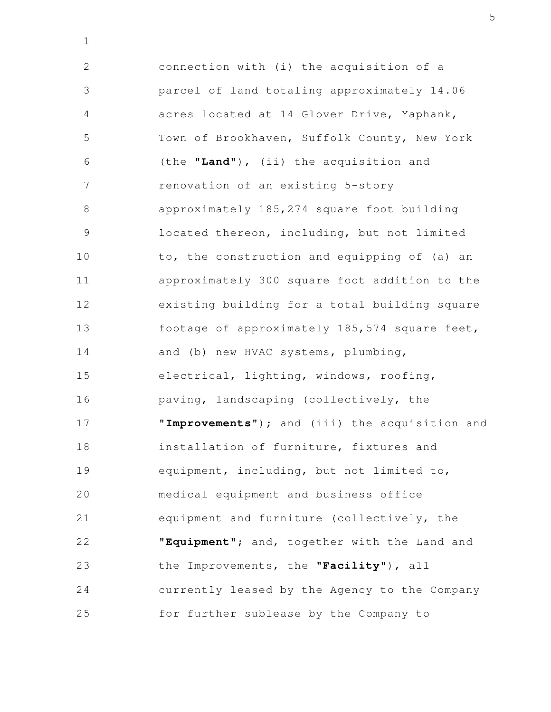connection with (i) the acquisition of a parcel of land totaling approximately 14.06 acres located at 14 Glover Drive, Yaphank, Town of Brookhaven, Suffolk County, New York (the "**Land**"), (ii) the acquisition and renovation of an existing 5-story approximately 185,274 square foot building located thereon, including, but not limited to, the construction and equipping of (a) an approximately 300 square foot addition to the existing building for a total building square footage of approximately 185,574 square feet, and (b) new HVAC systems, plumbing, electrical, lighting, windows, roofing, paving, landscaping (collectively, the "**Improvements**"); and (iii) the acquisition and installation of furniture, fixtures and equipment, including, but not limited to, medical equipment and business office equipment and furniture (collectively, the "**Equipment**"; and, together with the Land and the Improvements, the "**Facility**"), all currently leased by the Agency to the Company for further sublease by the Company to 2 3 4 5 6 7 8 9 10 11 12 13 14 15 16 17 18 19 20 21 22 23 24 25

1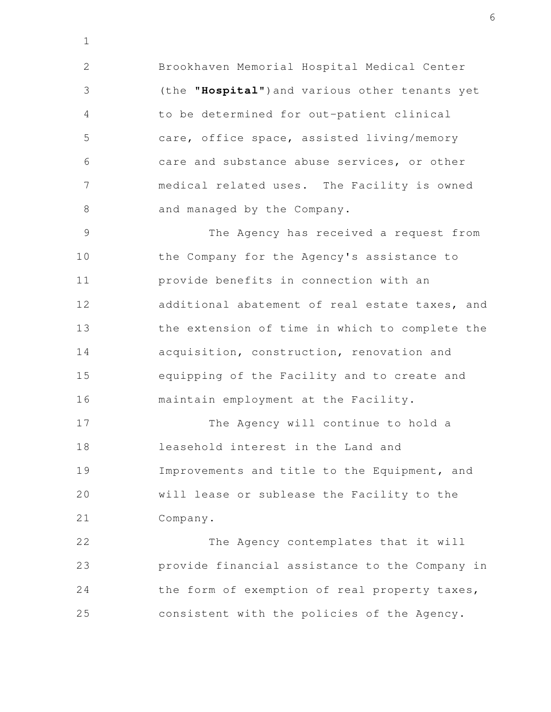Brookhaven Memorial Hospital Medical Center (the "**Hospital**")and various other tenants yet to be determined for out-patient clinical care, office space, assisted living/memory care and substance abuse services, or other medical related uses. The Facility is owned and managed by the Company. 2 3 4 5 6 7 8

1

The Agency has received a request from the Company for the Agency's assistance to provide benefits in connection with an additional abatement of real estate taxes, and the extension of time in which to complete the acquisition, construction, renovation and equipping of the Facility and to create and maintain employment at the Facility. 9 10 11 12 13 14 15 16

The Agency will continue to hold a leasehold interest in the Land and Improvements and title to the Equipment, and will lease or sublease the Facility to the Company. 17 18 19 20 21

The Agency contemplates that it will provide financial assistance to the Company in the form of exemption of real property taxes, consistent with the policies of the Agency. 22 23 24 25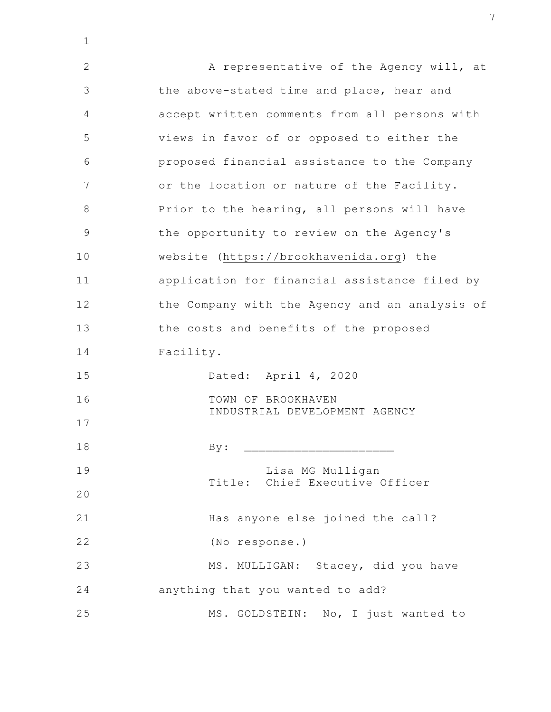A representative of the Agency will, at the above-stated time and place, hear and accept written comments from all persons with views in favor of or opposed to either the proposed financial assistance to the Company or the location or nature of the Facility. Prior to the hearing, all persons will have the opportunity to review on the Agency's website (https://brookhavenida.org) the application for financial assistance filed by the Company with the Agency and an analysis of the costs and benefits of the proposed Facility. Dated: April 4, 2020 TOWN OF BROOKHAVEN INDUSTRIAL DEVELOPMENT AGENCY  $\text{By:} \quad \_\_$  Lisa MG Mulligan Title: Chief Executive Officer Has anyone else joined the call? (No response.) MS. MULLIGAN: Stacey, did you have anything that you wanted to add? MS. GOLDSTEIN: No, I just wanted to 2 3 4 5 6 7 8 9 10 11 12 13 14 15 16 17 18 19 20 21 22 23 24 25

1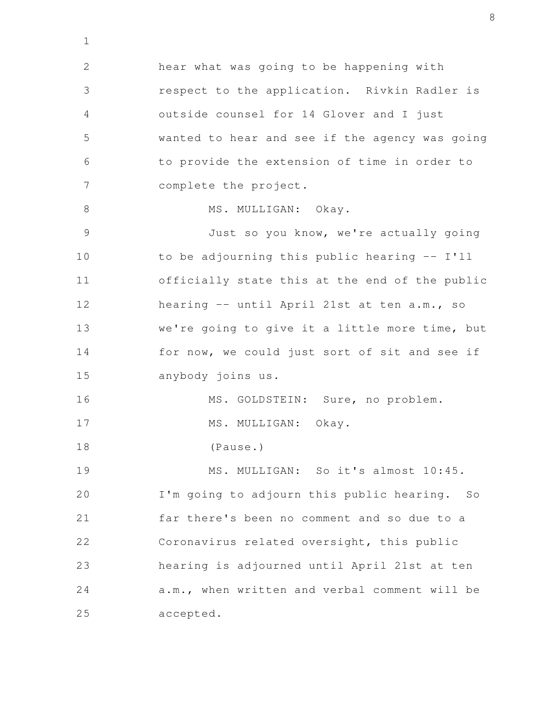hear what was going to be happening with respect to the application. Rivkin Radler is outside counsel for 14 Glover and I just wanted to hear and see if the agency was going to provide the extension of time in order to complete the project. MS. MULLIGAN: Okay. Just so you know, we're actually going to be adjourning this public hearing -- I'll officially state this at the end of the public hearing -- until April 21st at ten a.m., so we're going to give it a little more time, but for now, we could just sort of sit and see if anybody joins us. MS. GOLDSTEIN: Sure, no problem. MS. MULLIGAN: Okay. (Pause.) MS. MULLIGAN: So it's almost 10:45. I'm going to adjourn this public hearing. So far there's been no comment and so due to a Coronavirus related oversight, this public hearing is adjourned until April 21st at ten a.m., when written and verbal comment will be accepted. 2 3 4 5 6 7 8 9 10 11 12 13 14 15 16 17 18 19 20 21 22 23 24 25

1